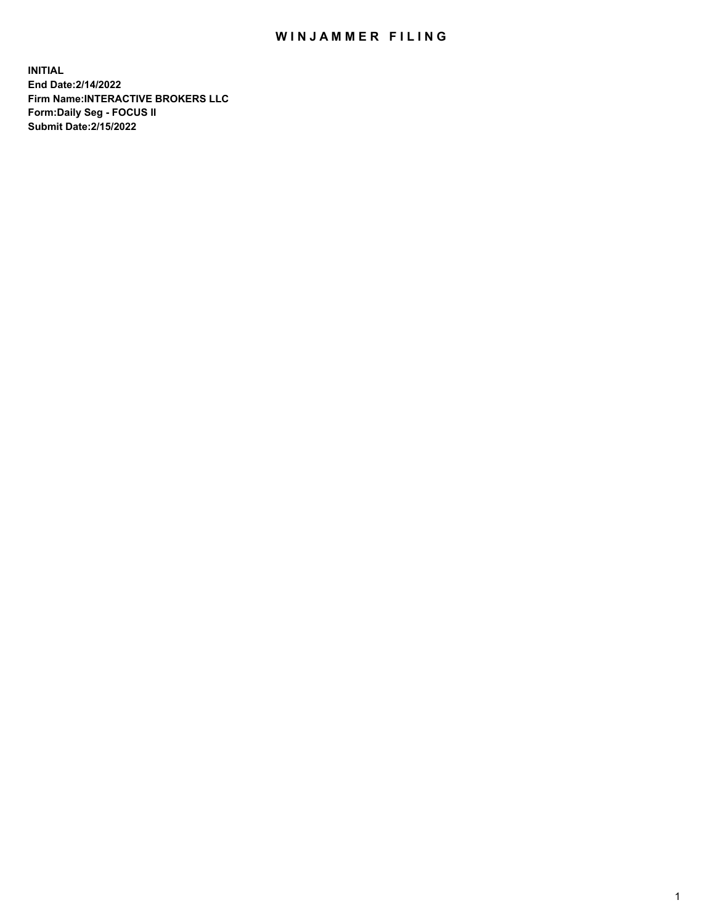## WIN JAMMER FILING

**INITIAL End Date:2/14/2022 Firm Name:INTERACTIVE BROKERS LLC Form:Daily Seg - FOCUS II Submit Date:2/15/2022**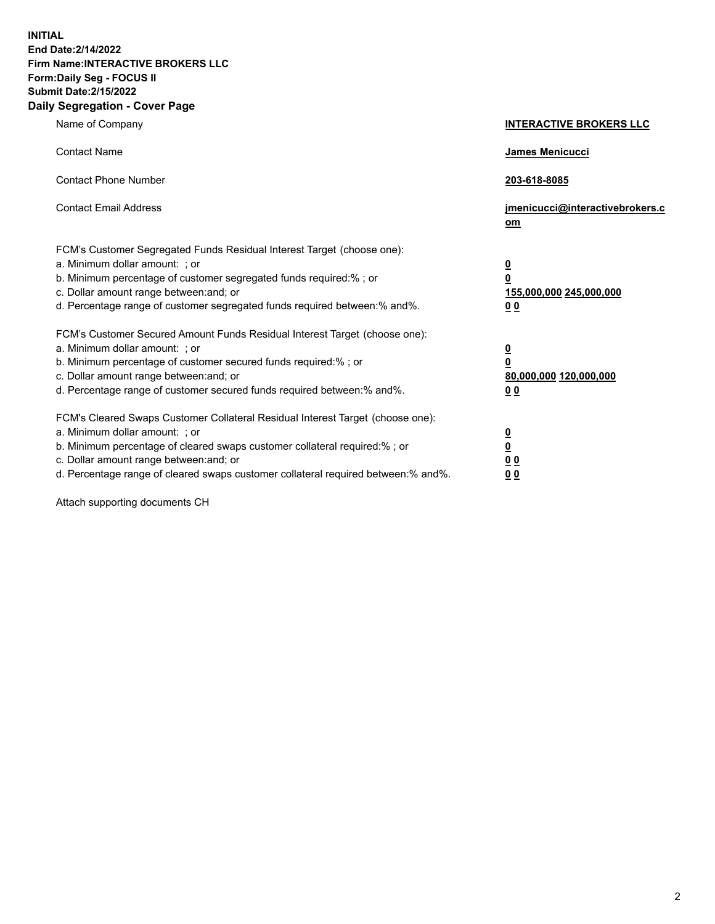**INITIAL End Date:2/14/2022 Firm Name:INTERACTIVE BROKERS LLC Form:Daily Seg - FOCUS II Submit Date:2/15/2022 Daily Segregation - Cover Page**

| Name of Company                                                                                                                                                                                                                                                                                                               | <b>INTERACTIVE BROKERS LLC</b>                                                                  |  |
|-------------------------------------------------------------------------------------------------------------------------------------------------------------------------------------------------------------------------------------------------------------------------------------------------------------------------------|-------------------------------------------------------------------------------------------------|--|
| <b>Contact Name</b>                                                                                                                                                                                                                                                                                                           | James Menicucci                                                                                 |  |
| <b>Contact Phone Number</b>                                                                                                                                                                                                                                                                                                   | 203-618-8085                                                                                    |  |
| <b>Contact Email Address</b>                                                                                                                                                                                                                                                                                                  | jmenicucci@interactivebrokers.c<br>om                                                           |  |
| FCM's Customer Segregated Funds Residual Interest Target (choose one):<br>a. Minimum dollar amount: ; or<br>b. Minimum percentage of customer segregated funds required:% ; or<br>c. Dollar amount range between: and; or<br>d. Percentage range of customer segregated funds required between:% and%.                        | $\overline{\mathbf{0}}$<br>$\overline{\mathbf{0}}$<br>155,000,000 245,000,000<br>0 <sub>0</sub> |  |
| FCM's Customer Secured Amount Funds Residual Interest Target (choose one):<br>a. Minimum dollar amount: ; or<br>b. Minimum percentage of customer secured funds required:% ; or<br>c. Dollar amount range between: and; or<br>d. Percentage range of customer secured funds required between:% and%.                          | <u>0</u><br>$\overline{\mathbf{0}}$<br>80,000,000 120,000,000<br>0 <sub>0</sub>                 |  |
| FCM's Cleared Swaps Customer Collateral Residual Interest Target (choose one):<br>a. Minimum dollar amount: ; or<br>b. Minimum percentage of cleared swaps customer collateral required:%; or<br>c. Dollar amount range between: and; or<br>d. Percentage range of cleared swaps customer collateral required between:% and%. | $\overline{\mathbf{0}}$<br>$\underline{\mathbf{0}}$<br>$\underline{0}$ $\underline{0}$<br>00    |  |

Attach supporting documents CH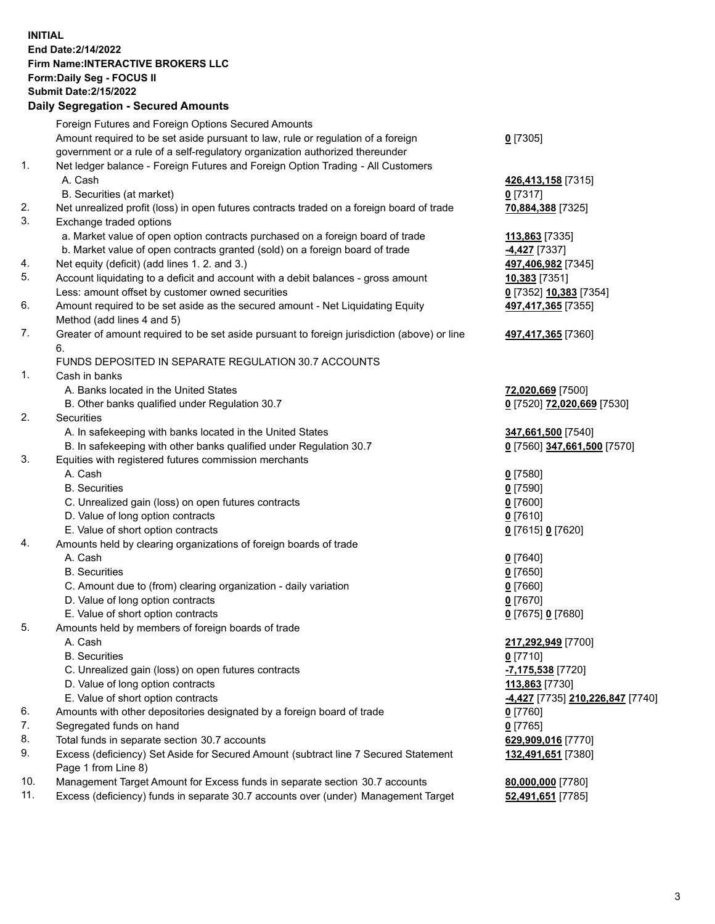**INITIAL End Date:2/14/2022 Firm Name:INTERACTIVE BROKERS LLC Form:Daily Seg - FOCUS II Submit Date:2/15/2022 Daily Segregation - Secured Amounts**

## Foreign Futures and Foreign Options Secured Amounts Amount required to be set aside pursuant to law, rule or regulation of a foreign government or a rule of a self-regulatory organization authorized thereunder **0** [7305] 1. Net ledger balance - Foreign Futures and Foreign Option Trading - All Customers A. Cash **426,413,158** [7315] B. Securities (at market) **0** [7317] 2. Net unrealized profit (loss) in open futures contracts traded on a foreign board of trade **70,884,388** [7325] 3. Exchange traded options a. Market value of open option contracts purchased on a foreign board of trade **113,863** [7335] b. Market value of open contracts granted (sold) on a foreign board of trade **-4,427** [7337] 4. Net equity (deficit) (add lines 1. 2. and 3.) **497,406,982** [7345] 5. Account liquidating to a deficit and account with a debit balances - gross amount **10,383** [7351] Less: amount offset by customer owned securities **0** [7352] **10,383** [7354] 6. Amount required to be set aside as the secured amount - Net Liquidating Equity Method (add lines 4 and 5) **497,417,365** [7355] 7. Greater of amount required to be set aside pursuant to foreign jurisdiction (above) or line 6. **497,417,365** [7360] FUNDS DEPOSITED IN SEPARATE REGULATION 30.7 ACCOUNTS 1. Cash in banks A. Banks located in the United States **72,020,669** [7500] B. Other banks qualified under Regulation 30.7 **0** [7520] **72,020,669** [7530] 2. Securities A. In safekeeping with banks located in the United States **347,661,500** [7540] B. In safekeeping with other banks qualified under Regulation 30.7 **0** [7560] **347,661,500** [7570] 3. Equities with registered futures commission merchants A. Cash **0** [7580] B. Securities **0** [7590] C. Unrealized gain (loss) on open futures contracts **0** [7600] D. Value of long option contracts **0** [7610] E. Value of short option contracts **0** [7615] **0** [7620] 4. Amounts held by clearing organizations of foreign boards of trade A. Cash **0** [7640] B. Securities **0** [7650] C. Amount due to (from) clearing organization - daily variation **0** [7660] D. Value of long option contracts **0** [7670] E. Value of short option contracts **0** [7675] **0** [7680] 5. Amounts held by members of foreign boards of trade A. Cash **217,292,949** [7700] B. Securities **0** [7710] C. Unrealized gain (loss) on open futures contracts **-7,175,538** [7720] D. Value of long option contracts **113,863** [7730] E. Value of short option contracts **-4,427** [7735] **210,226,847** [7740] 6. Amounts with other depositories designated by a foreign board of trade **0** [7760] 7. Segregated funds on hand **0** [7765] 8. Total funds in separate section 30.7 accounts **629,909,016** [7770] 9. Excess (deficiency) Set Aside for Secured Amount (subtract line 7 Secured Statement Page 1 from Line 8) **132,491,651** [7380] 10. Management Target Amount for Excess funds in separate section 30.7 accounts **80,000,000** [7780] 11. Excess (deficiency) funds in separate 30.7 accounts over (under) Management Target **52,491,651** [7785]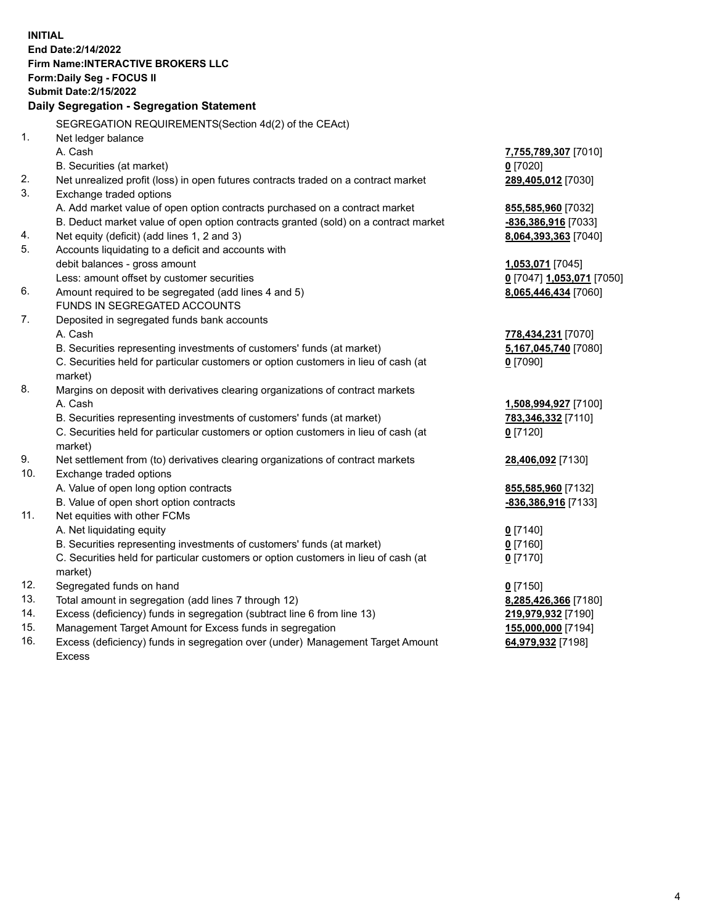**INITIAL End Date:2/14/2022 Firm Name:INTERACTIVE BROKERS LLC Form:Daily Seg - FOCUS II Submit Date:2/15/2022 Daily Segregation - Segregation Statement** SEGREGATION REQUIREMENTS(Section 4d(2) of the CEAct) 1. Net ledger balance A. Cash **7,755,789,307** [7010] B. Securities (at market) **0** [7020] 2. Net unrealized profit (loss) in open futures contracts traded on a contract market **289,405,012** [7030] 3. Exchange traded options A. Add market value of open option contracts purchased on a contract market **855,585,960** [7032] B. Deduct market value of open option contracts granted (sold) on a contract market **-836,386,916** [7033] 4. Net equity (deficit) (add lines 1, 2 and 3) **8,064,393,363** [7040] 5. Accounts liquidating to a deficit and accounts with debit balances - gross amount **1,053,071** [7045] Less: amount offset by customer securities **0** [7047] **1,053,071** [7050] 6. Amount required to be segregated (add lines 4 and 5) **8,065,446,434** [7060] FUNDS IN SEGREGATED ACCOUNTS 7. Deposited in segregated funds bank accounts A. Cash **778,434,231** [7070] B. Securities representing investments of customers' funds (at market) **5,167,045,740** [7080] C. Securities held for particular customers or option customers in lieu of cash (at market) **0** [7090] 8. Margins on deposit with derivatives clearing organizations of contract markets A. Cash **1,508,994,927** [7100] B. Securities representing investments of customers' funds (at market) **783,346,332** [7110] C. Securities held for particular customers or option customers in lieu of cash (at market) **0** [7120] 9. Net settlement from (to) derivatives clearing organizations of contract markets **28,406,092** [7130] 10. Exchange traded options A. Value of open long option contracts **855,585,960** [7132] B. Value of open short option contracts **-836,386,916** [7133] 11. Net equities with other FCMs A. Net liquidating equity **0** [7140] B. Securities representing investments of customers' funds (at market) **0** [7160] C. Securities held for particular customers or option customers in lieu of cash (at market) **0** [7170] 12. Segregated funds on hand **0** [7150] 13. Total amount in segregation (add lines 7 through 12) **8,285,426,366** [7180] 14. Excess (deficiency) funds in segregation (subtract line 6 from line 13) **219,979,932** [7190] 15. Management Target Amount for Excess funds in segregation **155,000,000** [7194]

16. Excess (deficiency) funds in segregation over (under) Management Target Amount Excess

**64,979,932** [7198]